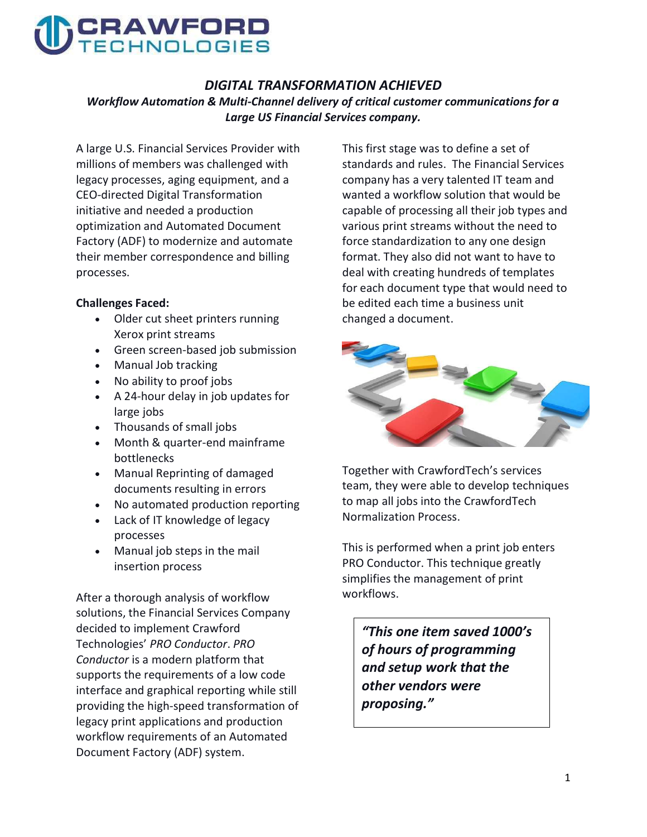

#### DIGITAL TRANSFORMATION ACHIEVED

Workflow Automation & Multi-Channel delivery of critical customer communications for a Large US Financial Services company.

A large U.S. Financial Services Provider with millions of members was challenged with legacy processes, aging equipment, and a CEO-directed Digital Transformation initiative and needed a production optimization and Automated Document Factory (ADF) to modernize and automate their member correspondence and billing processes.

#### Challenges Faced:

- Older cut sheet printers running Xerox print streams
- Green screen-based job submission
- Manual Job tracking
- No ability to proof jobs
- A 24-hour delay in job updates for large jobs
- Thousands of small jobs
- Month & quarter-end mainframe bottlenecks
- Manual Reprinting of damaged documents resulting in errors
- No automated production reporting
- Lack of IT knowledge of legacy processes
- Manual job steps in the mail insertion process

After a thorough analysis of workflow solutions, the Financial Services Company decided to implement Crawford Technologies' PRO Conductor. PRO Conductor is a modern platform that supports the requirements of a low code interface and graphical reporting while still providing the high-speed transformation of legacy print applications and production workflow requirements of an Automated Document Factory (ADF) system.

This first stage was to define a set of standards and rules. The Financial Services company has a very talented IT team and wanted a workflow solution that would be capable of processing all their job types and various print streams without the need to force standardization to any one design format. They also did not want to have to deal with creating hundreds of templates for each document type that would need to be edited each time a business unit changed a document.



Together with CrawfordTech's services team, they were able to develop techniques to map all jobs into the CrawfordTech Normalization Process.

This is performed when a print job enters PRO Conductor. This technique greatly simplifies the management of print workflows.

"This one item saved 1000's of hours of programming and setup work that the other vendors were proposing."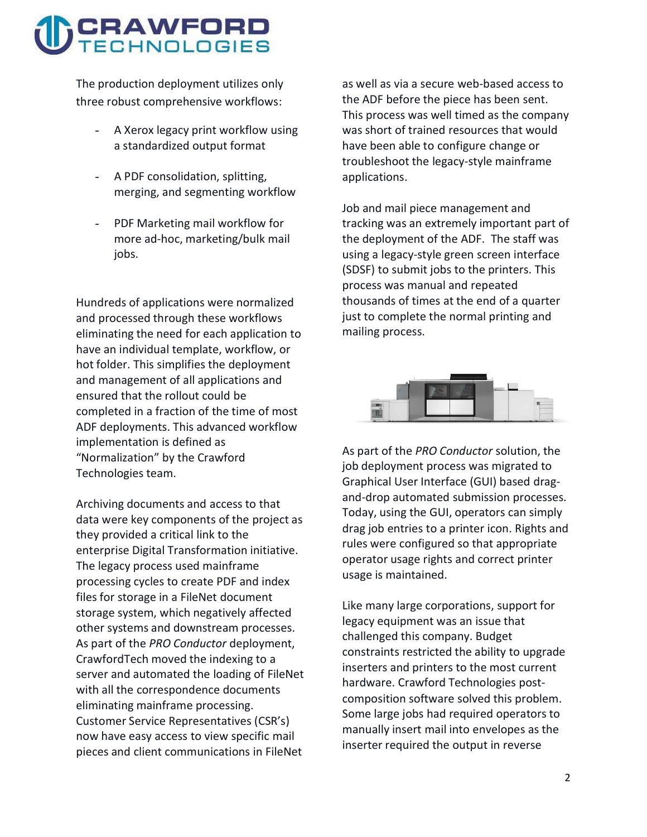# CRAWFORD

The production deployment utilizes only three robust comprehensive workflows:

- A Xerox legacy print workflow using a standardized output format
- A PDF consolidation, splitting, merging, and segmenting workflow
- PDF Marketing mail workflow for more ad-hoc, marketing/bulk mail jobs.

Hundreds of applications were normalized and processed through these workflows eliminating the need for each application to have an individual template, workflow, or hot folder. This simplifies the deployment and management of all applications and ensured that the rollout could be completed in a fraction of the time of most ADF deployments. This advanced workflow implementation is defined as "Normalization" by the Crawford Technologies team.

Archiving documents and access to that data were key components of the project as they provided a critical link to the enterprise Digital Transformation initiative. The legacy process used mainframe processing cycles to create PDF and index files for storage in a FileNet document storage system, which negatively affected other systems and downstream processes. As part of the PRO Conductor deployment, CrawfordTech moved the indexing to a server and automated the loading of FileNet with all the correspondence documents eliminating mainframe processing. Customer Service Representatives (CSR's) now have easy access to view specific mail pieces and client communications in FileNet

as well as via a secure web-based access to the ADF before the piece has been sent. This process was well timed as the company was short of trained resources that would have been able to configure change or troubleshoot the legacy-style mainframe applications.

Job and mail piece management and tracking was an extremely important part of the deployment of the ADF. The staff was using a legacy-style green screen interface (SDSF) to submit jobs to the printers. This process was manual and repeated thousands of times at the end of a quarter just to complete the normal printing and mailing process.



As part of the PRO Conductor solution, the job deployment process was migrated to Graphical User Interface (GUI) based dragand-drop automated submission processes. Today, using the GUI, operators can simply drag job entries to a printer icon. Rights and rules were configured so that appropriate operator usage rights and correct printer usage is maintained.

Like many large corporations, support for legacy equipment was an issue that challenged this company. Budget constraints restricted the ability to upgrade inserters and printers to the most current hardware. Crawford Technologies postcomposition software solved this problem. Some large jobs had required operators to manually insert mail into envelopes as the inserter required the output in reverse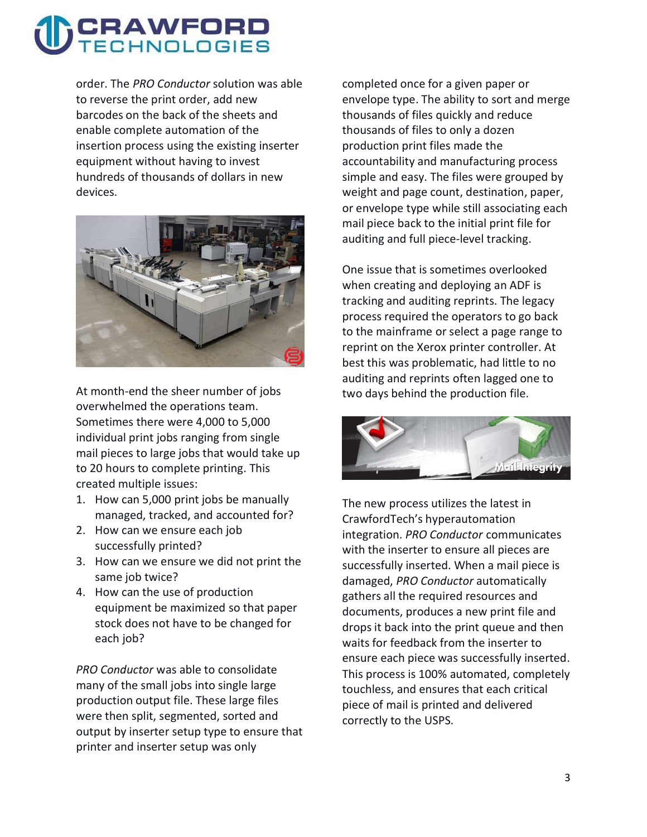# CRAWFORD

order. The PRO Conductor solution was able to reverse the print order, add new barcodes on the back of the sheets and enable complete automation of the insertion process using the existing inserter equipment without having to invest hundreds of thousands of dollars in new devices.



At month-end the sheer number of jobs overwhelmed the operations team. Sometimes there were 4,000 to 5,000 individual print jobs ranging from single mail pieces to large jobs that would take up to 20 hours to complete printing. This created multiple issues:

- 1. How can 5,000 print jobs be manually managed, tracked, and accounted for?
- 2. How can we ensure each job successfully printed?
- 3. How can we ensure we did not print the same job twice?
- 4. How can the use of production equipment be maximized so that paper stock does not have to be changed for each job?

PRO Conductor was able to consolidate many of the small jobs into single large production output file. These large files were then split, segmented, sorted and output by inserter setup type to ensure that printer and inserter setup was only

completed once for a given paper or envelope type. The ability to sort and merge thousands of files quickly and reduce thousands of files to only a dozen production print files made the accountability and manufacturing process simple and easy. The files were grouped by weight and page count, destination, paper, or envelope type while still associating each mail piece back to the initial print file for auditing and full piece-level tracking.

One issue that is sometimes overlooked when creating and deploying an ADF is tracking and auditing reprints. The legacy process required the operators to go back to the mainframe or select a page range to reprint on the Xerox printer controller. At best this was problematic, had little to no auditing and reprints often lagged one to two days behind the production file.



The new process utilizes the latest in CrawfordTech's hyperautomation integration. PRO Conductor communicates with the inserter to ensure all pieces are successfully inserted. When a mail piece is damaged, PRO Conductor automatically gathers all the required resources and documents, produces a new print file and drops it back into the print queue and then waits for feedback from the inserter to ensure each piece was successfully inserted. This process is 100% automated, completely touchless, and ensures that each critical piece of mail is printed and delivered correctly to the USPS.